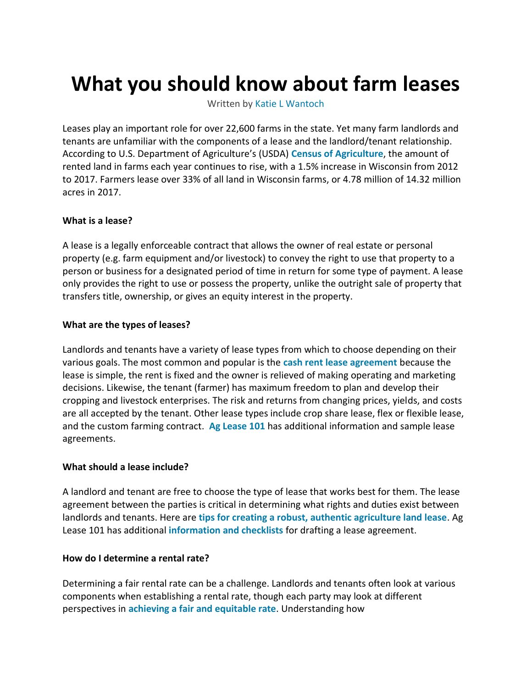# **What you should know about farm leases**

Written by [Katie L Wantoch](https://farms.extension.wisc.edu/author/kwantoch/)

Leases play an important role for over 22,600 farms in the state. Yet many farm landlords and tenants are unfamiliar with the components of a lease and the landlord/tenant relationship. According to U.S. Department of Agriculture's (USDA) **[Census of Agriculture](https://www.nass.usda.gov/Publications/AgCensus/2017/Full_Report/Volume_1,_Chapter_1_State_Level/Wisconsin/st55_1_0011_0012.pdf)**, the amount of rented land in farms each year continues to rise, with a 1.5% increase in Wisconsin from 2012 to 2017. Farmers lease over 33% of all land in Wisconsin farms, or 4.78 million of 14.32 million acres in 2017.

## **What is a lease?**

A lease is a legally enforceable contract that allows the owner of real estate or personal property (e.g. farm equipment and/or livestock) to convey the right to use that property to a person or business for a designated period of time in return for some type of payment. A lease only provides the right to use or possess the property, unlike the outright sale of property that transfers title, ownership, or gives an equity interest in the property.

## **What are the types of leases?**

Landlords and tenants have a variety of lease types from which to choose depending on their various goals. The most common and popular is the **[cash rent lease agreement](https://farms.extension.wisc.edu/articles/wisconsin-cash-farm-land-lease-example/)** because the lease is simple, the rent is fixed and the owner is relieved of making operating and marketing decisions. Likewise, the tenant (farmer) has maximum freedom to plan and develop their cropping and livestock enterprises. The risk and returns from changing prices, yields, and costs are all accepted by the tenant. Other lease types include crop share lease, flex or flexible lease, and the custom farming contract. **[Ag Lease 101](https://aglease101.org/)** has additional information and sample lease agreements.

# **What should a lease include?**

A landlord and tenant are free to choose the type of lease that works best for them. The lease agreement between the parties is critical in determining what rights and duties exist between landlords and tenants. Here are **[tips for creating a robust, authentic agriculture land lease](https://farms.extension.wisc.edu/articles/creating-a-robust-authentic-agriculture-land-lease/)**. Ag Lease 101 has additional **[information and checklists](https://aglease101.org/)** for drafting a lease agreement.

# **How do I determine a rental rate?**

Determining a fair rental rate can be a challenge. Landlords and tenants often look at various components when establishing a rental rate, though each party may look at different perspectives in **[achieving a fair and equitable rate](https://farms.extension.wisc.edu/articles/guidance-in-determining-an-equitable-agriculture-land-rental-value/)**. Understanding how